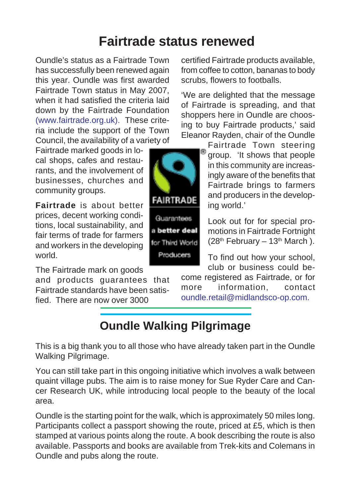### **Fairtrade status renewed**

Oundle's status as a Fairtrade Town has successfully been renewed again this year. Oundle was first awarded Fairtrade Town status in May 2007, when it had satisfied the criteria laid down by the Fairtrade Foundation (www.fairtrade.org.uk). These criteria include the support of the Town Council, the availability of a variety of

Fairtrade marked goods in local shops, cafes and restaurants, and the involvement of businesses, churches and community groups.

**Fairtrade** is about better prices, decent working conditions, local sustainability, and fair terms of trade for farmers and workers in the developing world.

The Fairtrade mark on goods

and products guarantees that Fairtrade standards have been satisfied. There are now over 3000

certified Fairtrade products available, from coffee to cotton, bananas to body scrubs, flowers to footballs.

'We are delighted that the message of Fairtrade is spreading, and that shoppers here in Oundle are choosing to buy Fairtrade products,' said Eleanor Rayden, chair of the Oundle

Fairtrade Town steering group. 'It shows that people in this community are increasingly aware of the benefits that Fairtrade brings to farmers and producers in the developing world.'

Look out for for special promotions in Fairtrade Fortnight  $(28<sup>th</sup>$  February – 13<sup>th</sup> March).

To find out how your school, club or business could be-

come registered as Fairtrade, or for more information, contact oundle.retail@midlandsco-op.com.

**Oundle Walking Pilgrimage**

This is a big thank you to all those who have already taken part in the Oundle Walking Pilgrimage.

You can still take part in this ongoing initiative which involves a walk between quaint village pubs. The aim is to raise money for Sue Ryder Care and Cancer Research UK, while introducing local people to the beauty of the local area.

Oundle is the starting point for the walk, which is approximately 50 miles long. Participants collect a passport showing the route, priced at £5, which is then stamped at various points along the route. A book describing the route is also available. Passports and books are available from Trek-kits and Colemans in Oundle and pubs along the route.



**Guarantees** a better deal for Third World Producers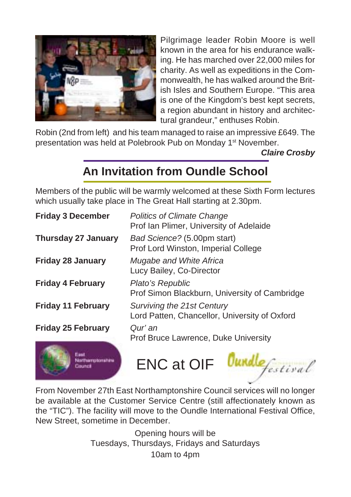

Pilgrimage leader Robin Moore is well known in the area for his endurance walking. He has marched over 22,000 miles for charity. As well as expeditions in the Commonwealth, he has walked around the British Isles and Southern Europe. "This area is one of the Kingdom's best kept secrets, a region abundant in history and architectural grandeur," enthuses Robin.

Robin (2nd from left) and his team managed to raise an impressive £649. The presentation was held at Polebrook Pub on Monday 1<sup>st</sup> November.

*Claire Crosby*

### **An Invitation from Oundle School**

Members of the public will be warmly welcomed at these Sixth Form lectures which usually take place in The Great Hall starting at 2.30pm.

| <b>Friday 3 December</b>   | <b>Politics of Climate Change</b><br>Prof Ian Plimer, University of Adelaide |
|----------------------------|------------------------------------------------------------------------------|
| <b>Thursday 27 January</b> | Bad Science? (5.00pm start)<br>Prof Lord Winston, Imperial College           |
| <b>Friday 28 January</b>   | Mugabe and White Africa<br>Lucy Bailey, Co-Director                          |
| <b>Friday 4 February</b>   | Plato's Republic<br>Prof Simon Blackburn, University of Cambridge            |
| <b>Friday 11 February</b>  | Surviving the 21st Century<br>Lord Patten, Chancellor, University of Oxford  |
| <b>Friday 25 February</b>  | Qur' an<br>Prof Bruce Lawrence, Duke University                              |
|                            | <b>ENC at OIF</b>                                                            |

From November 27th East Northamptonshire Council services will no longer be available at the Customer Service Centre (still affectionately known as the "TIC"). The facility will move to the Oundle International Festival Office, New Street, sometime in December.

> Opening hours will be Tuesdays, Thursdays, Fridays and Saturdays 10am to 4pm